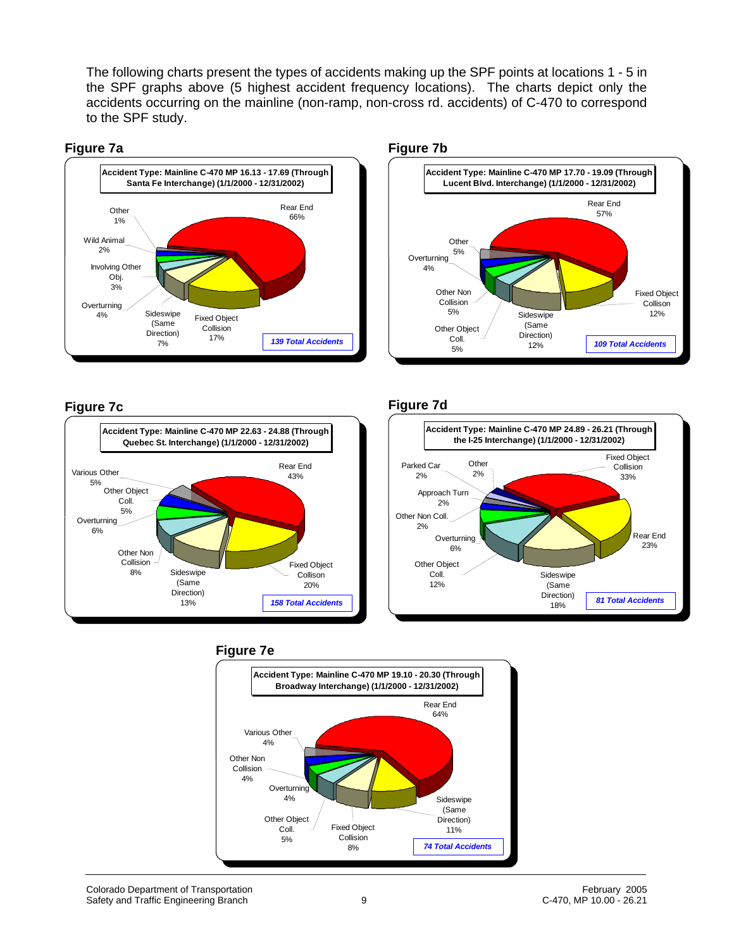The following charts present the types of accidents making up the SPF points at locations 1 - 5 in the SPF graphs above (5 highest accident frequency locations). The charts depict only the accidents occurring on the mainline (non-ramp, non-cross rd. accidents) of C-470 to correspond to the SPF study.





### **Figure 7c**



#### **Figure 7d**



#### **Figure 7e**

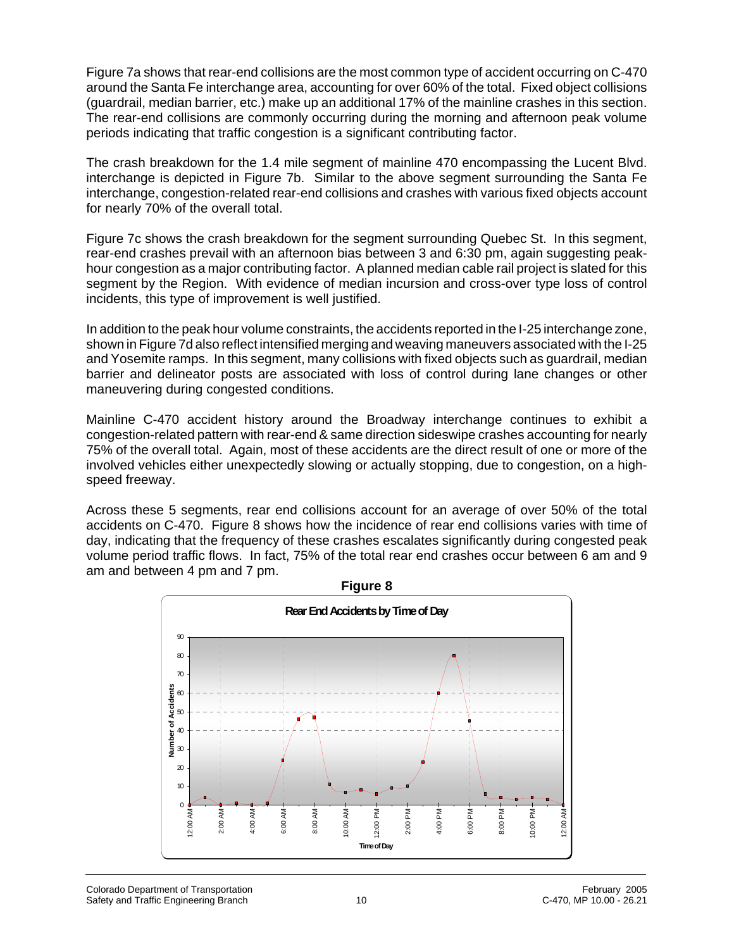Figure 7a shows that rear-end collisions are the most common type of accident occurring on C-470 around the Santa Fe interchange area, accounting for over 60% of the total. Fixed object collisions (guardrail, median barrier, etc.) make up an additional 17% of the mainline crashes in this section. The rear-end collisions are commonly occurring during the morning and afternoon peak volume periods indicating that traffic congestion is a significant contributing factor.

The crash breakdown for the 1.4 mile segment of mainline 470 encompassing the Lucent Blvd. interchange is depicted in Figure 7b. Similar to the above segment surrounding the Santa Fe interchange, congestion-related rear-end collisions and crashes with various fixed objects account for nearly 70% of the overall total.

Figure 7c shows the crash breakdown for the segment surrounding Quebec St. In this segment, rear-end crashes prevail with an afternoon bias between 3 and 6:30 pm, again suggesting peakhour congestion as a major contributing factor. A planned median cable rail project is slated for this segment by the Region. With evidence of median incursion and cross-over type loss of control incidents, this type of improvement is well justified.

In addition to the peak hour volume constraints, the accidents reported in the I-25 interchange zone, shown in Figure 7d also reflect intensified merging and weaving maneuvers associated with the I-25 and Yosemite ramps. In this segment, many collisions with fixed objects such as guardrail, median barrier and delineator posts are associated with loss of control during lane changes or other maneuvering during congested conditions.

Mainline C-470 accident history around the Broadway interchange continues to exhibit a congestion-related pattern with rear-end & same direction sideswipe crashes accounting for nearly 75% of the overall total. Again, most of these accidents are the direct result of one or more of the involved vehicles either unexpectedly slowing or actually stopping, due to congestion, on a highspeed freeway.

Across these 5 segments, rear end collisions account for an average of over 50% of the total accidents on C-470. Figure 8 shows how the incidence of rear end collisions varies with time of day, indicating that the frequency of these crashes escalates significantly during congested peak volume period traffic flows. In fact, 75% of the total rear end crashes occur between 6 am and 9 am and between 4 pm and 7 pm.

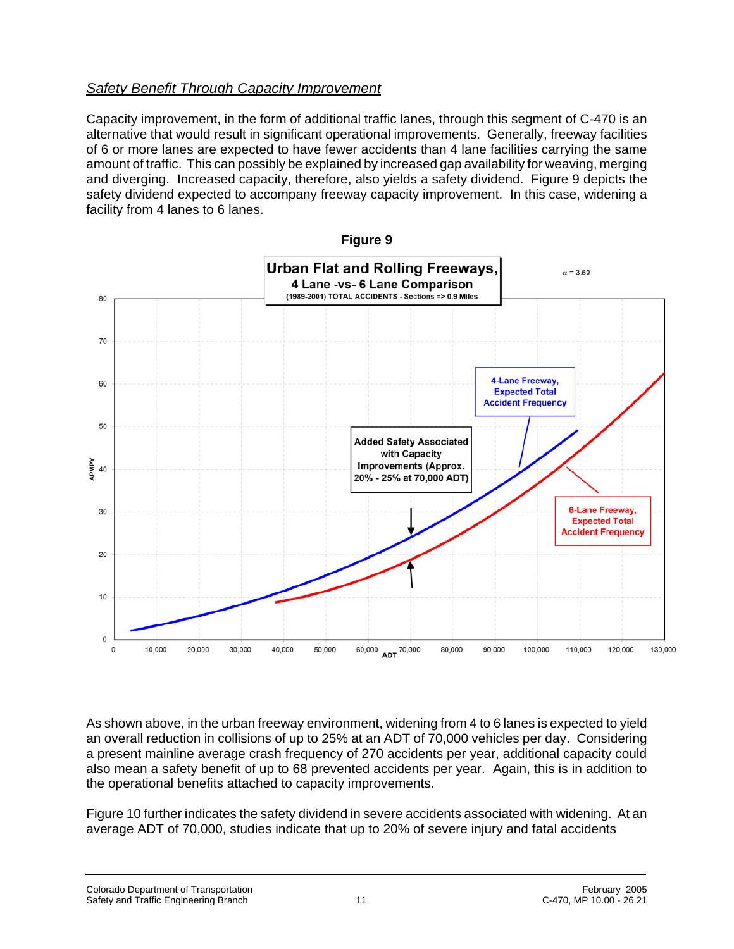## *Safety Benefit Through Capacity Improvement*

Capacity improvement, in the form of additional traffic lanes, through this segment of C-470 is an alternative that would result in significant operational improvements. Generally, freeway facilities of 6 or more lanes are expected to have fewer accidents than 4 lane facilities carrying the same amount of traffic. This can possibly be explained by increased gap availability for weaving, merging and diverging. Increased capacity, therefore, also yields a safety dividend. Figure 9 depicts the safety dividend expected to accompany freeway capacity improvement. In this case, widening a facility from 4 lanes to 6 lanes.



As shown above, in the urban freeway environment, widening from 4 to 6 lanes is expected to yield an overall reduction in collisions of up to 25% at an ADT of 70,000 vehicles per day. Considering a present mainline average crash frequency of 270 accidents per year, additional capacity could also mean a safety benefit of up to 68 prevented accidents per year. Again, this is in addition to the operational benefits attached to capacity improvements.

Figure 10 further indicates the safety dividend in severe accidents associated with widening. At an average ADT of 70,000, studies indicate that up to 20% of severe injury and fatal accidents